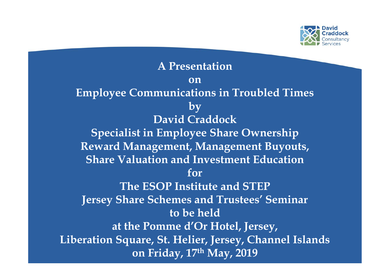

**A Presentation on Employee Communications in Troubled Times by David Craddock Specialist in Employee Share Ownership Reward Management, Management Buyouts, Share Valuation and Investment Education for The ESOP Institute and STEP Jersey Share Schemes and Trustees' Seminar to be held at the Pomme d'Or Hotel, Jersey, Liberation Square, St. Helier, Jersey, Channel Islands on Friday, 17th May, 2019**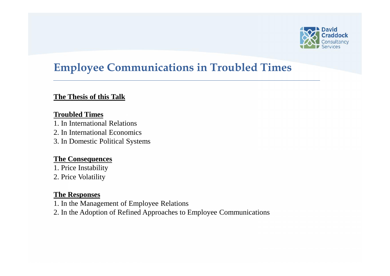

### **Employee Communications in Troubled Times**

### **The Thesis of this Talk**

### **Troubled Times**

1. In International Relations

2. In International Economics

3. In Domestic Political Systems

### **The Consequences**

1. Price Instability 2. Price Volatility

### **The Responses**

1. In the Management of Employee Relations

2. In the Adoption of Refined Approaches to Employee Communications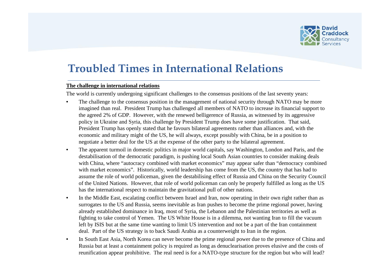

# **Troubled Times in International Relations**

#### **The challenge in international relations**

The world is currently undergoing significant challenges to the consensus positions of the last seventy years:

- The challenge to the consensus position in the management of national security through NATO may be more imagined than real. President Trump has challenged all members of NATO to increase its financial support to the agreed 2% of GDP. However, with the renewed belligerence of Russia, as witnessed by its aggressive policy in Ukraine and Syria, this challenge by President Trump does have some justification. That said, President Trump has openly stated that he favours bilateral agreements rather than alliances and, with the economic and military might of the US, he will always, except possibly with China, be in a position to negotiate a better deal for the US at the expense of the other party to the bilateral agreement.
- The apparent turmoil in domestic politics in major world capitals, say Washington, London and Paris, and the destabilisation of the democratic paradigm, is pushing local South Asian countries to consider making deals with China, where "autocracy combined with market economics" may appear safer than "democracy combined with market economics". Historically, world leadership has come from the US, the country that has had to assume the role of world policeman, given the destabilising effect of Russia and China on the Security Council of the United Nations. However, that role of world policeman can only be properly fulfilled as long as the US has the international respect to maintain the gravitational pull of other nations.
- In the Middle East, escalating conflict between Israel and Iran, now operating in their own right rather than as surrogates to the US and Russia, seems inevitable as Iran pushes to become the prime regional power, having already established dominance in Iraq, most of Syria, the Lebanon and the Palestinian territories as well as fighting to take control of Yemen. The US White House is in a dilemma, not wanting Iran to fill the vacuum left by ISIS but at the same time wanting to limit US intervention and not be a part of the Iran containment deal. Part of the US strategy is to back Saudi Arabia as a counterweight to Iran in the region.
- In South East Asia, North Korea can never become the prime regional power due to the presence of China and Russia but at least a containment policy is required as long as denuclearisation proves elusive and the costs of reunification appear prohibitive. The real need is for a NATO-type structure for the region but who will lead?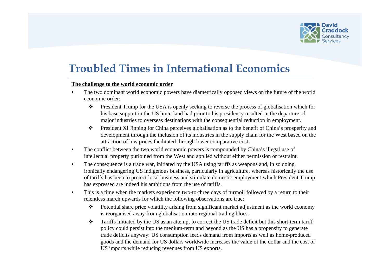

### **Troubled Times in International Economics**

#### **The challenge to the world economic order**

- The two dominant world economic powers have diametrically opposed views on the future of the world economic order:
	- $\bullet$  President Trump for the USA is openly seeking to reverse the process of globalisation which for his base support in the US hinterland had prior to his presidency resulted in the departure of major industries to overseas destinations with the consequential reduction in employment.
	- President Xi Jinping for China perceives globalisation as to the benefit of China's prosperity and development through the inclusion of its industries in the supply chain for the West based on the attraction of low prices facilitated through lower comparative cost.
- The conflict between the two world economic powers is compounded by China's illegal use of intellectual property purloined from the West and applied without either permission or restraint.
- The consequence is a trade war, initiated by the USA using tariffs as weapons and, in so doing, ironically endangering US indigenous business, particularly in agriculture, whereas historically the use of tariffs has been to protect local business and stimulate domestic employment which President Trump has expressed are indeed his ambitions from the use of tariffs.
- This is a time when the markets experience two-to-three days of turmoil followed by a return to their relentless march upwards for which the following observations are true:
	- $\triangle$  Potential share price volatility arising from significant market adjustment as the world economy is reorganised away from globalisation into regional trading blocs.
	- \* Tariffs initiated by the US as an attempt to correct the US trade deficit but this short-term tariff policy could persist into the medium-term and beyond as the US has a propensity to generate trade deficits anyway: US consumption feeds demand from imports as well as home-produced goods and the demand for US dollars worldwide increases the value of the dollar and the cost of US imports while reducing revenues from US exports.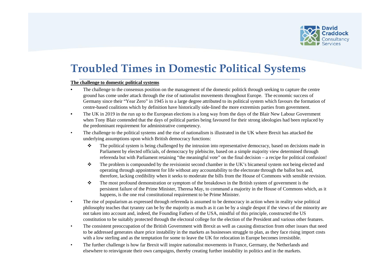

# **Troubled Times in Domestic Political Systems**

#### **The challenge to domestic political systems**

- The challenge to the consensus position on the management of the domestic politick through seeking to capture the centre ground has come under attack through the rise of nationalist movements throughout Europe. The economic success of Germany since their "Year Zero" in 1945 is to a large degree attributed to its political system which favours the formation of centre-based coalitions which by definition have historically side-lined the more extremists parties from government.
- The UK in 2019 in the run up to the European elections is a long way from the days of the Blair New Labour Government when Tony Blair contended that the days of political parties being favoured for their strong ideologies had been replaced by the predominant requirement for administrative competency.
- The challenge to the political systems and the rise of nationalism is illustrated in the UK where Brexit has attacked the underlying assumptions upon which British democracy functions:
	- $\cdot \cdot$  The political system is being challenged by the intrusion into representative democracy, based on decisions made in Parliament by elected officials, of democracy by plebiscite, based on a simple majority view determined through referenda but with Parliament retaining "the meaningful vote" on the final decision – a recipe for political confusion!
	- $\bullet$  The problem is compounded by the revisionist second chamber in the UK's bicameral system not being elected and operating through appointment for life without any accountability to the electorate through the ballot box and, therefore, lacking credibility when it seeks to moderate the bills from the House of Commons with sensible revision.
	- $\cdot \cdot$  The most profound demonstration or symptom of the breakdown in the British system of government is the persistent failure of the Prime Minister, Theresa May, to command a majority in the House of Commons which, as it happens, is the one real constitutional requirement to be Prime Minister.
- The rise of popularism as expressed through referenda is assumed to be democracy in action when in reality wise political philosophy teaches that tyranny can be by the majority as much as it can be by a single despot if the views of the minority are not taken into account and, indeed, the Founding Fathers of the USA, mindful of this principle, constructed the US constitution to be suitably protected through the electoral college for the election of the President and various other features.
- The consistent preoccupation of the British Government with Brexit as well as causing distraction from other issues that need to be addressed generates share price instability in the markets as businesses struggle to plan, as they face rising import costs with a low sterling and as the temptation for some to leave the UK for relocation in Europe becomes irresistible.
- The further challenge is how far Brexit will inspire nationalist movements in France, Germany, the Netherlands and elsewhere to reinvigorate their own campaigns, thereby creating further instability in politics and in the markets.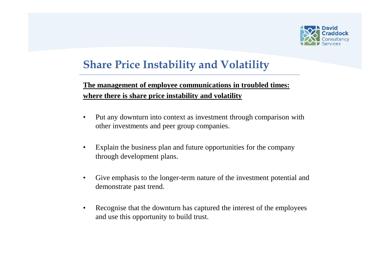

# **Share Price Instability and Volatility**

### **The management of employee communications in troubled times: where there is share price instability and volatility**

- Put any downturn into context as investment through comparison with other investments and peer group companies.
- Explain the business plan and future opportunities for the company through development plans.
- Give emphasis to the longer-term nature of the investment potential and demonstrate past trend.
- Recognise that the downturn has captured the interest of the employees and use this opportunity to build trust.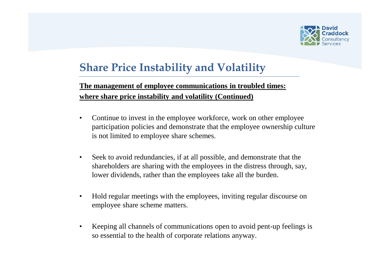

# **Share Price Instability and Volatility**

### **The management of employee communications in troubled times: where share price instability and volatility (Continued)**

- Continue to invest in the employee workforce, work on other employee participation policies and demonstrate that the employee ownership culture is not limited to employee share schemes.
- Seek to avoid redundancies, if at all possible, and demonstrate that the shareholders are sharing with the employees in the distress through, say, lower dividends, rather than the employees take all the burden.
- Hold regular meetings with the employees, inviting regular discourse on employee share scheme matters.
- Keeping all channels of communications open to avoid pent-up feelings is so essential to the health of corporate relations anyway.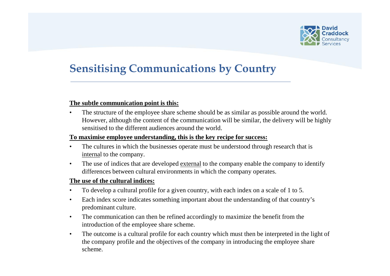

# **Sensitising Communications by Country**

#### **The subtle communication point is this:**

• The structure of the employee share scheme should be as similar as possible around the world. However, although the content of the communication will be similar, the delivery will be highly sensitised to the different audiences around the world.

#### **To maximise employee understanding, this is the key recipe for success:**

- The cultures in which the businesses operate must be understood through research that is internal to the company.
- The use of indices that are developed external to the company enable the company to identify differences between cultural environments in which the company operates.

#### **The use of the cultural indices:**

- To develop a cultural profile for a given country, with each index on a scale of 1 to 5.
- Each index score indicates something important about the understanding of that country's predominant culture.
- The communication can then be refined accordingly to maximize the benefit from the introduction of the employee share scheme.
- The outcome is a cultural profile for each country which must then be interpreted in the light of the company profile and the objectives of the company in introducing the employee share scheme.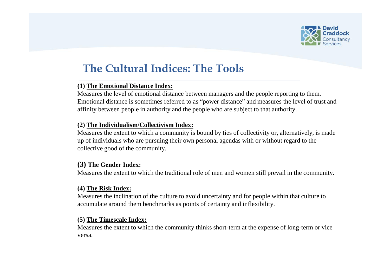

# **The Cultural Indices: The Tools**

### **(1) The Emotional Distance Index:**

Measures the level of emotional distance between managers and the people reporting to them. Emotional distance is sometimes referred to as "power distance" and measures the level of trust and affinity between people in authority and the people who are subject to that authority.

#### **(2) The Individualism/Collectivism Index:**

Measures the extent to which a community is bound by ties of collectivity or, alternatively, is made up of individuals who are pursuing their own personal agendas with or without regard to the collective good of the community.

### **(3) The Gender Index:**

Measures the extent to which the traditional role of men and women still prevail in the community.

#### **(4) The Risk Index:**

Measures the inclination of the culture to avoid uncertainty and for people within that culture to accumulate around them benchmarks as points of certainty and inflexibility.

#### **(5) The Timescale Index:**

Measures the extent to which the community thinks short-term at the expense of long-term or vice versa.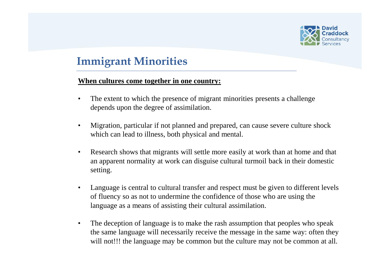

# **Immigrant Minorities**

### **When cultures come together in one country:**

- The extent to which the presence of migrant minorities presents a challenge depends upon the degree of assimilation.
- Migration, particular if not planned and prepared, can cause severe culture shock which can lead to illness, both physical and mental.
- Research shows that migrants will settle more easily at work than at home and that an apparent normality at work can disguise cultural turmoil back in their domestic setting.
- Language is central to cultural transfer and respect must be given to different levels of fluency so as not to undermine the confidence of those who are using the language as a means of assisting their cultural assimilation.
- The deception of language is to make the rash assumption that peoples who speak the same language will necessarily receive the message in the same way: often they will not!!! the language may be common but the culture may not be common at all.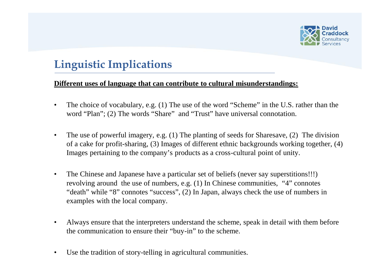

# **Linguistic Implications**

### **Different uses of language that can contribute to cultural misunderstandings:**

- The choice of vocabulary, e.g. (1) The use of the word "Scheme" in the U.S. rather than the word "Plan"; (2) The words "Share" and "Trust" have universal connotation.
- The use of powerful imagery, e.g. (1) The planting of seeds for Sharesave, (2) The division of a cake for profit-sharing, (3) Images of different ethnic backgrounds working together, (4) Images pertaining to the company's products as a cross-cultural point of unity.
- The Chinese and Japanese have a particular set of beliefs (never say superstitions!!!) revolving around the use of numbers, e.g. (1) In Chinese communities, "4" connotes "death" while "8" connotes "success", (2) In Japan, always check the use of numbers in examples with the local company.
- Always ensure that the interpreters understand the scheme, speak in detail with them before the communication to ensure their "buy-in" to the scheme.
- Use the tradition of story-telling in agricultural communities.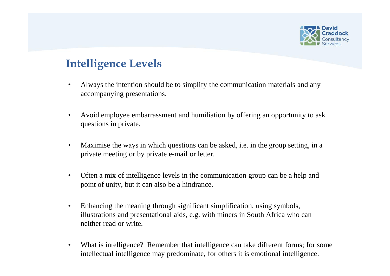

# **Intelligence Levels**

- Always the intention should be to simplify the communication materials and any accompanying presentations.
- Avoid employee embarrassment and humiliation by offering an opportunity to ask questions in private.
- Maximise the ways in which questions can be asked, i.e. in the group setting, in a private meeting or by private e-mail or letter.
- Often a mix of intelligence levels in the communication group can be a help and point of unity, but it can also be a hindrance.
- Enhancing the meaning through significant simplification, using symbols, illustrations and presentational aids, e.g. with miners in South Africa who can neither read or write.
- What is intelligence? Remember that intelligence can take different forms; for some intellectual intelligence may predominate, for others it is emotional intelligence.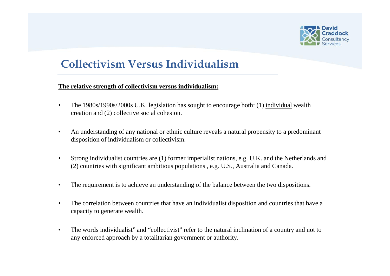

# **Collectivism Versus Individualism**

#### **The relative strength of collectivism versus individualism:**

- The 1980s/1990s/2000s U.K. legislation has sought to encourage both: (1) individual wealth creation and (2) collective social cohesion.
- An understanding of any national or ethnic culture reveals a natural propensity to a predominant disposition of individualism or collectivism.
- Strong individualist countries are (1) former imperialist nations, e.g. U.K. and the Netherlands and (2) countries with significant ambitious populations , e.g. U.S., Australia and Canada.
- The requirement is to achieve an understanding of the balance between the two dispositions.
- The correlation between countries that have an individualist disposition and countries that have a capacity to generate wealth.
- The words individualist" and "collectivist" refer to the natural inclination of a country and not to any enforced approach by a totalitarian government or authority.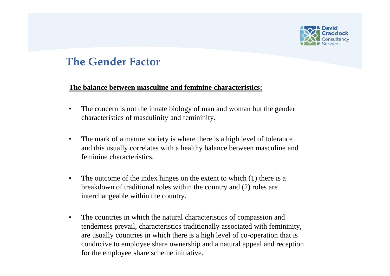

# **The Gender Factor**

### **The balance between masculine and feminine characteristics:**

- The concern is not the innate biology of man and woman but the gender characteristics of masculinity and femininity.
- The mark of a mature society is where there is a high level of tolerance and this usually correlates with a healthy balance between masculine and feminine characteristics.
- The outcome of the index hinges on the extent to which (1) there is a breakdown of traditional roles within the country and (2) roles are interchangeable within the country.
- The countries in which the natural characteristics of compassion and tenderness prevail, characteristics traditionally associated with femininity, are usually countries in which there is a high level of co-operation that is conducive to employee share ownership and a natural appeal and reception for the employee share scheme initiative.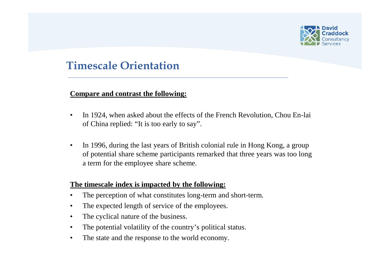

## **Timescale Orientation**

### **Compare and contrast the following:**

- In 1924, when asked about the effects of the French Revolution, Chou En-lai of China replied: "It is too early to say".
- In 1996, during the last years of British colonial rule in Hong Kong, a group of potential share scheme participants remarked that three years was too long a term for the employee share scheme.

### **The timescale index is impacted by the following:**

- The perception of what constitutes long-term and short-term.
- The expected length of service of the employees.
- The cyclical nature of the business.
- The potential volatility of the country's political status.
- The state and the response to the world economy.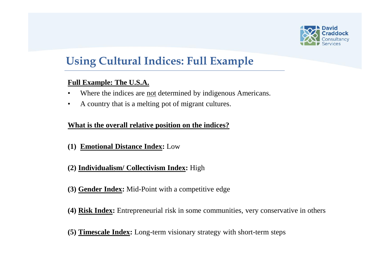

# **Using Cultural Indices: Full Example**

### **Full Example: The U.S.A.**

- Where the indices are not determined by indigenous Americans.
- A country that is a melting pot of migrant cultures.

### **What is the overall relative position on the indices?**

- **(1) Emotional Distance Index:** Low
- **(2) Individualism/ Collectivism Index:** High
- **(3) Gender Index:** Mid-Point with a competitive edge
- **(4) Risk Index:** Entrepreneurial risk in some communities, very conservative in others
- **(5) Timescale Index:** Long-term visionary strategy with short-term steps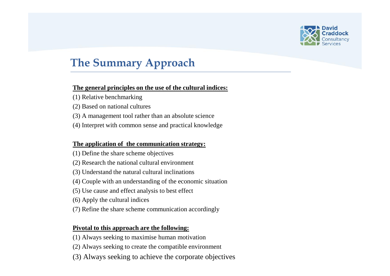

# **The Summary Approach**

#### **The general principles on the use of the cultural indices:**

- (1) Relative benchmarking
- (2) Based on national cultures
- (3) A management tool rather than an absolute science
- (4) Interpret with common sense and practical knowledge

#### **The application of the communication strategy:**

- (1) Define the share scheme objectives
- (2) Research the national cultural environment
- (3) Understand the natural cultural inclinations
- (4) Couple with an understanding of the economic situation
- (5) Use cause and effect analysis to best effect
- (6) Apply the cultural indices
- (7) Refine the share scheme communication accordingly

#### **Pivotal to this approach are the following:**

- (1) Always seeking to maximise human motivation
- (2) Always seeking to create the compatible environment
- (3) Always seeking to achieve the corporate objectives